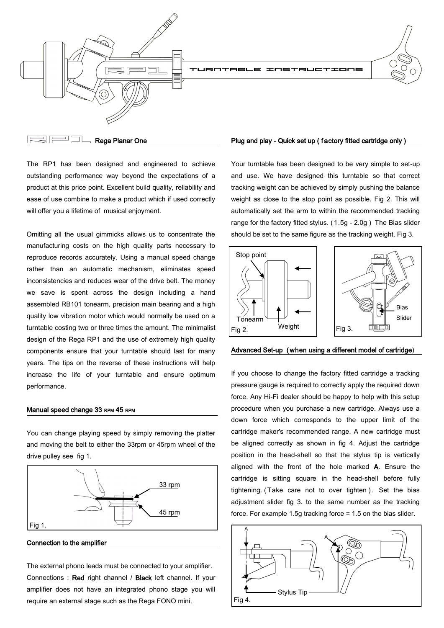

LE INSTRUCTIONS



Bias Slider

Rega Planar One

The RP1 has been designed and engineered to achieve outstanding performance way beyond the expectations of a product at this price point. Excellent build quality, reliability and ease of use combine to make a product which if used correctly will offer you a lifetime of musical enjoyment.

Omitting all the usual gimmicks allows us to concentrate the manufacturing costs on the high quality parts necessary to reproduce records accurately. Using a manual speed change rather than an automatic mechanism, eliminates speed inconsistencies and reduces wear of the drive belt. The money we save is spent across the design including a hand assembled RB101 tonearm, precision main bearing and a high quality low vibration motor which would normally be used on a turntable costing two or three times the amount. The minimalist design of the Rega RP1 and the use of extremely high quality components ensure that your turntable should last for many years. The tips on the reverse of these instructions will help increase the life of your turntable and ensure optimum performance.

#### Manual speed change 33 RPM 45 RPM

You can change playing speed by simply removing the platter and moving the belt to either the 33rpm or 45rpm wheel of the drive pulley see fig 1.



Connection to the amplifier

The external phono leads must be connected to your amplifier. Connections : Red right channel / Black left channel. If your amplifier does not have an integrated phono stage you will require an external stage such as the Rega FONO mini.

### Plug and play - Quick set up ( f actory fitted cartridge only )

Your turntable has been designed to be very simple to set-up and use. We have designed this turntable so that correct tracking weight can be achieved by simply pushing the balance weight as close to the stop point as possible. Fig 2. This will automatically set the arm to within the recommended tracking range for the factory fitted stylus. ( 1.5g - 2.0g ) The Bias slider should be set to the same figure as the tracking weight. Fig 3.



### Advanced Set-up ( when using a different model of cartridge)

If you choose to change the factory fitted cartridge a tracking pressure gauge is required to correctly apply the required down force. Any Hi-Fi dealer should be happy to help with this setup procedure when you purchase a new cartridge. Always use a down force which corresponds to the upper limit of the cartridge maker's recommended range. A new cartridge must be aligned correctly as shown in fig 4. Adjust the cartridge position in the head-shell so that the stylus tip is vertically aligned with the front of the hole marked A. Ensure the cartridge is sitting square in the head-shell before fully tightening. (Take care not to over tighten). Set the bias adjustment slider fig 3. to the same number as the tracking force. For example 1.5g tracking force = 1.5 on the bias slider.